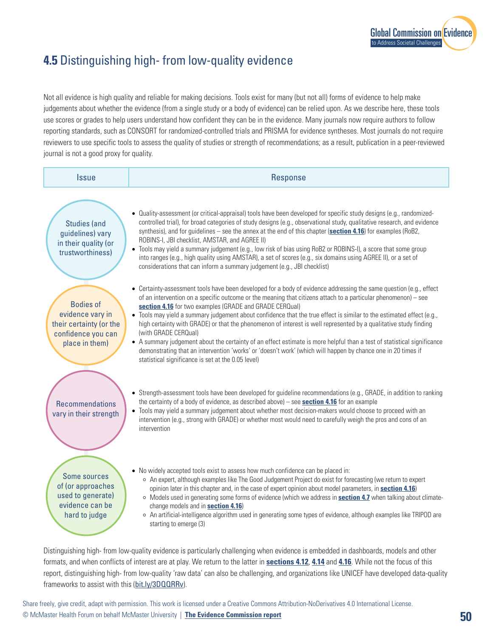

## **4.5** Distinguishing high- from low-quality evidence

Not all evidence is high quality and reliable for making decisions. Tools exist for many (but not all) forms of evidence to help make judgements about whether the evidence (from a single study or a body of evidence) can be relied upon. As we describe here, these tools use scores or grades to help users understand how confident they can be in the evidence. Many journals now require authors to follow reporting standards, such as CONSORT for randomized-controlled trials and PRISMA for evidence syntheses. Most journals do not require reviewers to use specific tools to assess the quality of studies or strength of recommendations; as a result, publication in a peer-reviewed journal is not a good proxy for quality.

| <b>Issue</b>                                                                                            | Response                                                                                                                                                                                                                                                                                                                                                                                                                                                                                                                                                                                                                                                                                                                                                                                                                                                              |
|---------------------------------------------------------------------------------------------------------|-----------------------------------------------------------------------------------------------------------------------------------------------------------------------------------------------------------------------------------------------------------------------------------------------------------------------------------------------------------------------------------------------------------------------------------------------------------------------------------------------------------------------------------------------------------------------------------------------------------------------------------------------------------------------------------------------------------------------------------------------------------------------------------------------------------------------------------------------------------------------|
| <b>Studies (and</b><br>guidelines) vary<br>in their quality (or<br>trustworthiness)                     | • Quality-assessment (or critical-appraisal) tools have been developed for specific study designs (e.g., randomized-<br>controlled trial), for broad categories of study designs (e.g., observational study, qualitative research, and evidence<br>synthesis), and for guidelines – see the annex at the end of this chapter (section 4.16) for examples (RoB2,<br>ROBINS-I, JBI checklist, AMSTAR, and AGREE II)<br>• Tools may yield a summary judgement (e.g., low risk of bias using RoB2 or ROBINS-I), a score that some group<br>into ranges (e.g., high quality using AMSTAR), a set of scores (e.g., six domains using AGREE II), or a set of<br>considerations that can inform a summary judgement (e.g., JBI checklist)                                                                                                                                     |
| <b>Bodies of</b><br>evidence vary in<br>their certainty (or the<br>confidence you can<br>place in them) | • Certainty-assessment tools have been developed for a body of evidence addressing the same question (e.g., effect<br>of an intervention on a specific outcome or the meaning that citizens attach to a particular phenomenon) – see<br>section 4.16 for two examples (GRADE and GRADE CERQual)<br>• Tools may yield a summary judgement about confidence that the true effect is similar to the estimated effect (e.g.,<br>high certainty with GRADE) or that the phenomenon of interest is well represented by a qualitative study finding<br>(with GRADE CERQual)<br>• A summary judgement about the certainty of an effect estimate is more helpful than a test of statistical significance<br>demonstrating that an intervention 'works' or 'doesn't work' (which will happen by chance one in 20 times if<br>statistical significance is set at the 0.05 level) |
| <b>Recommendations</b><br>vary in their strength                                                        | • Strength-assessment tools have been developed for guideline recommendations (e.g., GRADE, in addition to ranking<br>the certainty of a body of evidence, as described above) – see <b>section 4.16</b> for an example<br>• Tools may yield a summary judgement about whether most decision-makers would choose to proceed with an<br>intervention (e.g., strong with GRADE) or whether most would need to carefully weigh the pros and cons of an<br>intervention                                                                                                                                                                                                                                                                                                                                                                                                   |
| Some sources<br>of (or approaches<br>used to generate)<br>evidence can be<br>hard to judge              | • No widely accepted tools exist to assess how much confidence can be placed in:<br>○ An expert, although examples like The Good Judgement Project do exist for forecasting (we return to expert<br>opinion later in this chapter and, in the case of expert opinion about model parameters, in section 4.16)<br>o Models used in generating some forms of evidence (which we address in <b>section 4.7</b> when talking about climate-<br>change models and in <b>section 4.16</b> )<br>o An artificial-intelligence algorithm used in generating some types of evidence, although examples like TRIPOD are<br>starting to emerge (3)                                                                                                                                                                                                                                |

Distinguishing high- from low-quality evidence is particularly challenging when evidence is embedded in dashboards, models and other formats, and when conflicts of interest are at play. We return to the latter in **sections 4.12**, **4.14** and **4.16**. While not the focus of this report, distinguishing high- from low-quality 'raw data' can also be challenging, and organizations like UNICEF have developed data-quality frameworks to assist with this ([bit.ly/3DQQRRv](http://bit.ly/3DQQRRv)).

Share freely, give credit, adapt with permission. This work is licensed under a Creative Commons Attribution-NoDerivatives 4.0 International License. © McMaster Health Forum on behalf McMaster University | **[The Evidence Commission report](https://www.mcmasterforum.org/networks/evidence-commission/report/english)**